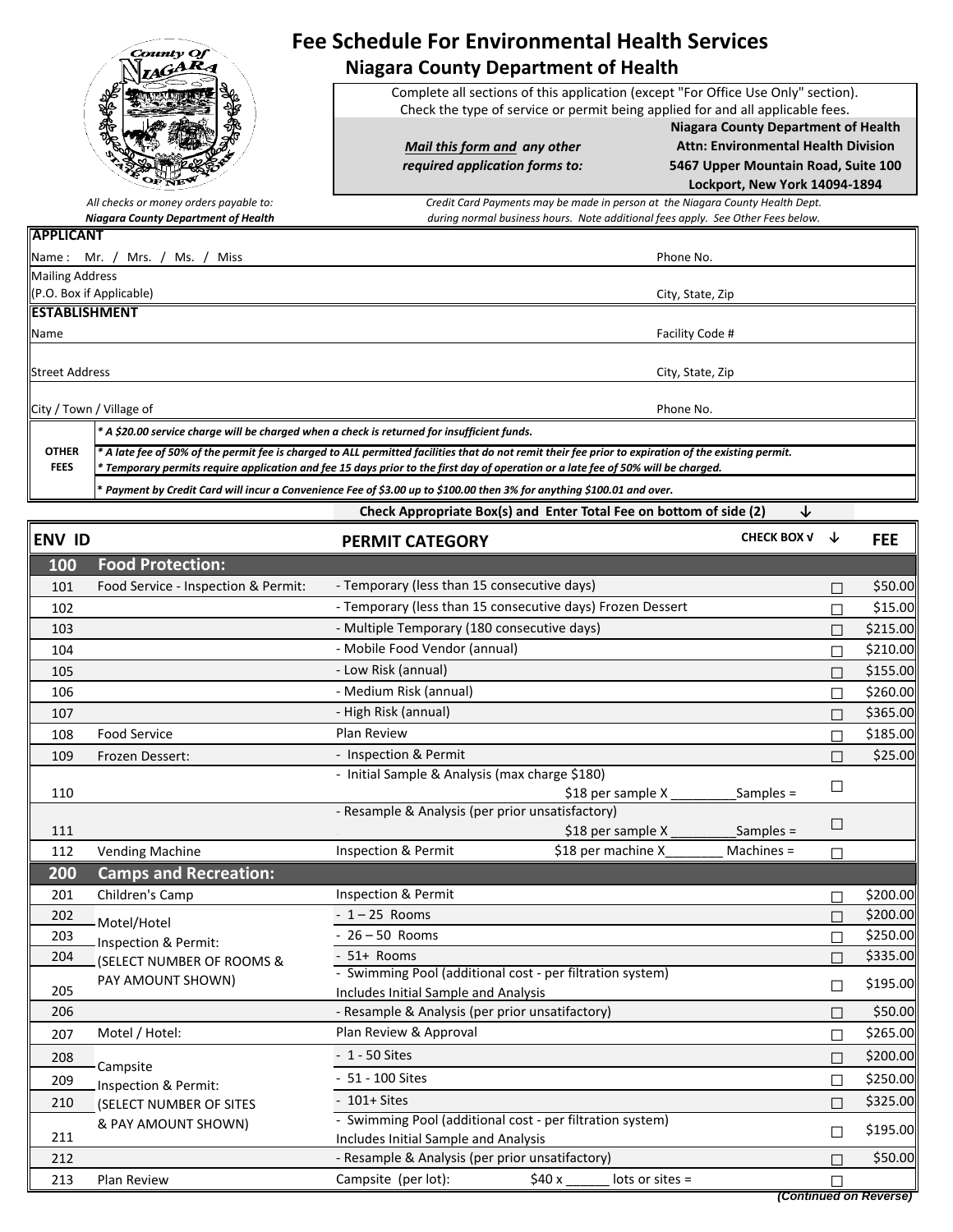|                             | County Of                                                                                                                                                                                                                                                                             | <b>Fee Schedule For Environmental Health Services</b><br><b>Niagara County Department of Health</b>                                                                 |                                                                                                                                                                  |   |            |  |  |  |
|-----------------------------|---------------------------------------------------------------------------------------------------------------------------------------------------------------------------------------------------------------------------------------------------------------------------------------|---------------------------------------------------------------------------------------------------------------------------------------------------------------------|------------------------------------------------------------------------------------------------------------------------------------------------------------------|---|------------|--|--|--|
|                             |                                                                                                                                                                                                                                                                                       | Complete all sections of this application (except "For Office Use Only" section).<br>Check the type of service or permit being applied for and all applicable fees. |                                                                                                                                                                  |   |            |  |  |  |
|                             |                                                                                                                                                                                                                                                                                       | Mail this form and any other<br>required application forms to:                                                                                                      | <b>Niagara County Department of Health</b><br><b>Attn: Environmental Health Division</b><br>5467 Upper Mountain Road, Suite 100<br>Lockport, New York 14094-1894 |   |            |  |  |  |
|                             | All checks or money orders payable to:                                                                                                                                                                                                                                                | Credit Card Payments may be made in person at the Niagara County Health Dept.                                                                                       |                                                                                                                                                                  |   |            |  |  |  |
| <b>APPLICANT</b>            | <b>Niagara County Department of Health</b>                                                                                                                                                                                                                                            | during normal business hours. Note additional fees apply. See Other Fees below.                                                                                     |                                                                                                                                                                  |   |            |  |  |  |
|                             | Name: Mr. / Mrs. /<br>Ms. /<br>Miss                                                                                                                                                                                                                                                   |                                                                                                                                                                     | Phone No.                                                                                                                                                        |   |            |  |  |  |
| Mailing Address             |                                                                                                                                                                                                                                                                                       |                                                                                                                                                                     |                                                                                                                                                                  |   |            |  |  |  |
|                             | (P.O. Box if Applicable)                                                                                                                                                                                                                                                              |                                                                                                                                                                     | City, State, Zip                                                                                                                                                 |   |            |  |  |  |
| <b>ESTABLISHMENT</b>        |                                                                                                                                                                                                                                                                                       |                                                                                                                                                                     |                                                                                                                                                                  |   |            |  |  |  |
| Name                        |                                                                                                                                                                                                                                                                                       |                                                                                                                                                                     | Facility Code #                                                                                                                                                  |   |            |  |  |  |
| <b>Street Address</b>       |                                                                                                                                                                                                                                                                                       |                                                                                                                                                                     | City, State, Zip                                                                                                                                                 |   |            |  |  |  |
|                             | City / Town / Village of                                                                                                                                                                                                                                                              |                                                                                                                                                                     | Phone No.                                                                                                                                                        |   |            |  |  |  |
|                             | * A \$20.00 service charge will be charged when a check is returned for insufficient funds.                                                                                                                                                                                           |                                                                                                                                                                     |                                                                                                                                                                  |   |            |  |  |  |
| <b>OTHER</b><br><b>FEES</b> | A late fee of 50% of the permit fee is charged to ALL permitted facilities that do not remit their fee prior to expiration of the existing permit.<br>Temporary permits require application and fee 15 days prior to the first day of operation or a late fee of 50% will be charged. |                                                                                                                                                                     |                                                                                                                                                                  |   |            |  |  |  |
|                             | Payment by Credit Card will incur a Convenience Fee of \$3.00 up to \$100.00 then 3% for anything \$100.01 and over.                                                                                                                                                                  |                                                                                                                                                                     |                                                                                                                                                                  |   |            |  |  |  |
|                             |                                                                                                                                                                                                                                                                                       | Check Appropriate Box(s) and Enter Total Fee on bottom of side (2)                                                                                                  |                                                                                                                                                                  | ↓ |            |  |  |  |
| <b>ENV ID</b>               |                                                                                                                                                                                                                                                                                       | <b>PERMIT CATEGORY</b>                                                                                                                                              | <b>CHECK BOX V</b>                                                                                                                                               | ↓ | <b>FEE</b> |  |  |  |
| 100                         | <b>Food Protection:</b>                                                                                                                                                                                                                                                               |                                                                                                                                                                     |                                                                                                                                                                  |   |            |  |  |  |
| 101                         | Food Service - Inspection & Permit:                                                                                                                                                                                                                                                   | - Temporary (less than 15 consecutive days)                                                                                                                         |                                                                                                                                                                  | П | \$50.00    |  |  |  |
| 102                         |                                                                                                                                                                                                                                                                                       | - Temporary (less than 15 consecutive days) Frozen Dessert                                                                                                          |                                                                                                                                                                  |   | \$15.00    |  |  |  |
| 103                         |                                                                                                                                                                                                                                                                                       | - Multiple Temporary (180 consecutive days)                                                                                                                         |                                                                                                                                                                  |   | \$215.00   |  |  |  |
| 104                         |                                                                                                                                                                                                                                                                                       | - Mobile Food Vendor (annual)                                                                                                                                       |                                                                                                                                                                  | П | \$210.00   |  |  |  |
| 105                         |                                                                                                                                                                                                                                                                                       | - Low Risk (annual)                                                                                                                                                 |                                                                                                                                                                  | П | \$155.00   |  |  |  |
| 106                         |                                                                                                                                                                                                                                                                                       | - Medium Risk (annual)                                                                                                                                              |                                                                                                                                                                  |   | \$260.00   |  |  |  |
| 107                         |                                                                                                                                                                                                                                                                                       | - High Risk (annual)                                                                                                                                                |                                                                                                                                                                  | П | \$365.00   |  |  |  |
| 108                         | <b>Food Service</b>                                                                                                                                                                                                                                                                   | <b>Plan Review</b>                                                                                                                                                  |                                                                                                                                                                  | П | \$185.00   |  |  |  |
| 109                         | Frozen Dessert:                                                                                                                                                                                                                                                                       | - Inspection & Permit                                                                                                                                               |                                                                                                                                                                  | П | \$25.00    |  |  |  |
|                             |                                                                                                                                                                                                                                                                                       | - Initial Sample & Analysis (max charge \$180)                                                                                                                      |                                                                                                                                                                  |   |            |  |  |  |

 $-$  initial sample & Analysis (max charge \$1800)<br>\$18 per sample X \_\_\_\_\_\_\_\_\_\_Samples =

<sup>111</sup> □ 112 Vending Machine  $\Box$  Inspection & Permit  $\Box$  \$18 per machine  $X$   $\Box$  Machines =  $\Box$ 

- 26 – 50 Rooms

- 1 – 25 Rooms

Inspection & Permit

- 51+ Rooms

- 1 - 50 Sites - 51 - 100 Sites - 101+ Sites

201 Children's Camp Inspection & Permit \$200.00 <sup>202</sup> □ \$200.00  $\frac{1}{203}$  Inspection & Permit:  $\frac{1}{203}$   $\frac{1}{250.00}$  $\frac{204}{\sqrt{204}}$  (SELECT NUMBER OF ROOMS &  $\sqrt{204}$  = 51+ Rooms <sup>205</sup> □ \$195.00 Includes Initial Sample and Analysis 206 **- Propinsylve Business Analysis (per prior unsatifactory)** → S50.00 **□ \$50.00**  $207$  Motel / Hotel: 2009 Plan Review & Approval  $\Box$  \$265.00  $\frac{208}{1}$  Campsite  $\Box$  \$200.00  $\frac{209}{\text{Inspection 8}}$  Permit:  $\frac{51 - 100 \text{ Sites}}{}$ 210 (SELECT NUMBER OF SITES <sup>-</sup> 101+ Sites → 101+ Sites → 101+ Sites → 101+ Sites → 101+ Sites → 101+ Sites → 101+ Sites → 101+ Sites → 101+ Sites → 101+ Sites → 101+ Sites → 101+ Sites → 101+ Sites → 101+ Sites → 101+ Si <sup>211</sup> □ \$195.00 Includes Initial Sample and Analysis

- Resample & Analysis (per prior unsatisfactory)

\$18 per sample  $X$  \_\_\_\_\_\_\_\_\_\_\_\_\_\_\_Samples =

. \$18 per sample X \_\_\_\_\_\_\_\_\_Samples =

212 - Resample & Analysis (per prior unsatifactory)<br>213 - Plan Review - Campsite (per lot): \$40 x \_\_\_\_\_ lots or sites = □ □ \$50.00

- Swimming Pool (additional cost - per filtration system) .

- Swimming Pool (additional cost - per filtration system) .

Inspection & Permit  $$18$  per machine X Machines =

**200**

**Camps and Recreation:**

Motel/Hotel

**Campsite** 

Inspection & Permit:

PAY AMOUNT SHOWN)

Inspection & Permit:

& PAY AMOUNT SHOWN)

| 213 | Plan<br>Review | Campsite<br>(per lot): | \$40 x | lots<br>s or sites = |                        |
|-----|----------------|------------------------|--------|----------------------|------------------------|
|     |                |                        |        |                      | (Continued on Reverse) |